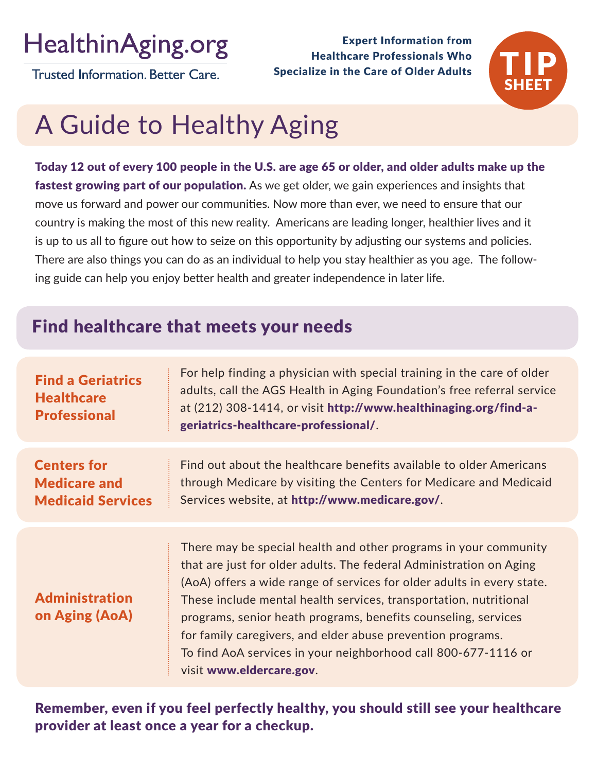## **HealthinAging.org**

**Trusted Information, Better Care.** 

Expert Information from Healthcare Professionals Who Specialize in the Care of Older Adults



# A Guide to Healthy Aging

Today 12 out of every 100 people in the U.S. are age 65 or older, and older adults make up the **fastest growing part of our population.** As we get older, we gain experiences and insights that move us forward and power our communities. Now more than ever, we need to ensure that our country is making the most of this new reality. Americans are leading longer, healthier lives and it is up to us all to figure out how to seize on this opportunity by adjusting our systems and policies. There are also things you can do as an individual to help you stay healthier as you age. The following guide can help you enjoy better health and greater independence in later life.

## Find healthcare that meets your needs

| <b>Find a Geriatrics</b><br><b>Healthcare</b><br><b>Professional</b>  | For help finding a physician with special training in the care of older<br>adults, call the AGS Health in Aging Foundation's free referral service<br>at (212) 308-1414, or visit http://www.healthinaging.org/find-a-<br>geriatrics-healthcare-professional/.                                                                                                                                                                                                                                                        |
|-----------------------------------------------------------------------|-----------------------------------------------------------------------------------------------------------------------------------------------------------------------------------------------------------------------------------------------------------------------------------------------------------------------------------------------------------------------------------------------------------------------------------------------------------------------------------------------------------------------|
| <b>Centers for</b><br><b>Medicare and</b><br><b>Medicaid Services</b> | Find out about the healthcare benefits available to older Americans<br>through Medicare by visiting the Centers for Medicare and Medicaid<br>Services website, at http://www.medicare.gov/.                                                                                                                                                                                                                                                                                                                           |
| <b>Administration</b><br>on Aging (AoA)                               | There may be special health and other programs in your community<br>that are just for older adults. The federal Administration on Aging<br>(AoA) offers a wide range of services for older adults in every state.<br>These include mental health services, transportation, nutritional<br>programs, senior heath programs, benefits counseling, services<br>for family caregivers, and elder abuse prevention programs.<br>To find AoA services in your neighborhood call 800-677-1116 or<br>visit www.eldercare.gov. |

Remember, even if you feel perfectly healthy, you should still see your healthcare provider at least once a year for a checkup.